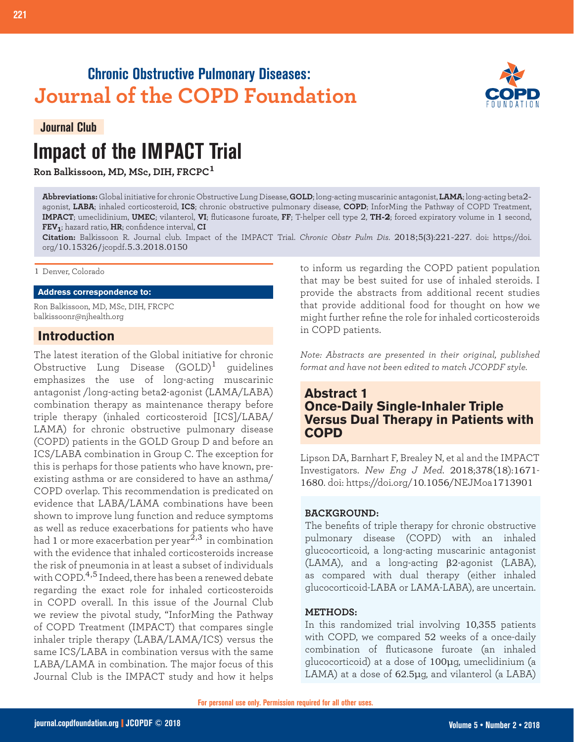## **Chronic Obstructive Pulmonary Diseases: Journal of the COPD Foundation**

#### **Journal Club**

# **Impact of the IMPACT Trial**

**Ron Balkissoon, MD, MSc, DIH, FRCPC<sup>1</sup>**

**Abbreviations:** Global initiative for chronic Obstructive Lung Disease, **GOLD**; long-acting muscarinic antagonist, **LAMA**; long-acting beta2 agonist, **LABA**; inhaled corticosteroid, **ICS**; chronic obstructive pulmonary disease, **COPD**; InforMing the Pathway of COPD Treatment, **IMPACT**; umeclidinium, **UMEC**; vilanterol, **VI**; fluticasone furoate, **FF**; T-helper cell type 2, **TH-2**; forced expiratory volume in 1 second, **FEV1**; hazard ratio, **HR**; confidence interval, **CI**

**Citation:** Balkissoon R. Journal club. Impact of the IMPACT Trial. *Chronic Obstr Pulm Dis*. 2018;5(3):221-227. doi: https://doi. org/10.15326/jcopdf.5.3.2018.0150

#### 1 Denver, Colorado

#### **Address correspondence to:**

Ron Balkissoon, MD, MSc, DIH, FRCPC balkissoonr@njhealth.org

#### **Introduction**

The latest iteration of the Global initiative for chronic Obstructive Lung Disease  $(GOLD)^1$  quidelines emphasizes the use of long-acting muscarinic antagonist /long-acting beta2-agonist (LAMA/LABA) combination therapy as maintenance therapy before triple therapy (inhaled corticosteroid [ICS]/LABA/ LAMA) for chronic obstructive pulmonary disease (COPD) patients in the GOLD Group D and before an ICS/LABA combination in Group C. The exception for this is perhaps for those patients who have known, preexisting asthma or are considered to have an asthma/ COPD overlap. This recommendation is predicated on evidence that LABA/LAMA combinations have been shown to improve lung function and reduce symptoms as well as reduce exacerbations for patients who have  $\frac{1}{2}$  or  $\frac{1}{2}$  or more exacerbation per year<sup>2,3</sup> in combination with the evidence that inhaled corticosteroids increase the risk of pneumonia in at least a subset of individuals with COPD.<sup>4,5</sup> Indeed, there has been a renewed debate regarding the exact role for inhaled corticosteroids in COPD overall. In this issue of the Journal Club we review the pivotal study, "InforMing the Pathway of COPD Treatment (IMPACT) that compares single inhaler triple therapy (LABA/LAMA/ICS) versus the same ICS/LABA in combination versus with the same LABA/LAMA in combination. The major focus of this Journal Club is the IMPACT study and how it helps

to inform us regarding the COPD patient population that may be best suited for use of inhaled steroids. I provide the abstracts from additional recent studies that provide additional food for thought on how we might further refine the role for inhaled corticosteroids in COPD patients.

*Note: Abstracts are presented in their original, published format and have not been edited to match JCOPDF style.*

#### **Abstract 1 Once-Daily Single-Inhaler Triple Versus Dual Therapy in Patients with COPD**

Lipson DA, Barnhart F, Brealey N, et al and the IMPACT Investigators. *New Eng J Med*. 2018;378(18):1671- 1680. doi: https://doi.org/10.1056/NEJMoa1713901

#### **BACKGROUND:**

The benefits of triple therapy for chronic obstructive pulmonary disease (COPD) with an inhaled glucocorticoid, a long-acting muscarinic antagonist (LAMA), and a long-acting β2-agonist (LABA), as compared with dual therapy (either inhaled glucocorticoid-LABA or LAMA-LABA), are uncertain.

#### **METHODS:**

In this randomized trial involving 10,355 patients with COPD, we compared 52 weeks of a once-daily combination of fluticasone furoate (an inhaled glucocorticoid) at a dose of 100μg, umeclidinium (a LAMA) at a dose of 62.5µg, and vilanterol (a LABA)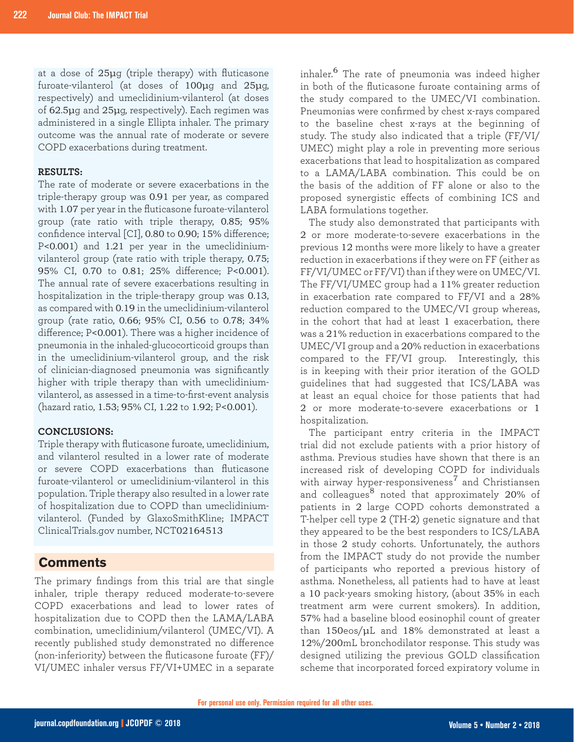at a dose of 25μg (triple therapy) with fluticasone furoate-vilanterol (at doses of 100μg and 25μg, respectively) and umeclidinium-vilanterol (at doses of 62.5μg and 25μg, respectively). Each regimen was administered in a single Ellipta inhaler. The primary outcome was the annual rate of moderate or severe COPD exacerbations during treatment.

#### **RESULTS:**

The rate of moderate or severe exacerbations in the triple-therapy group was 0.91 per year, as compared with 1.07 per year in the fluticasone furoate-vilanterol group (rate ratio with triple therapy, 0.85; 95% confidence interval [CI], 0.80 to 0.90; 15% difference; P<0.001) and 1.21 per year in the umeclidiniumvilanterol group (rate ratio with triple therapy, 0.75; 95% CI, 0.70 to 0.81; 25% difference; P<0.001). The annual rate of severe exacerbations resulting in hospitalization in the triple-therapy group was 0.13, as compared with 0.19 in the umeclidinium-vilanterol group (rate ratio, 0.66; 95% CI, 0.56 to 0.78; 34% difference; P<0.001). There was a higher incidence of pneumonia in the inhaled-glucocorticoid groups than in the umeclidinium-vilanterol group, and the risk of clinician-diagnosed pneumonia was significantly higher with triple therapy than with umeclidiniumvilanterol, as assessed in a time-to-first-event analysis (hazard ratio, 1.53; 95% CI, 1.22 to 1.92; P<0.001).

#### **CONCLUSIONS:**

Triple therapy with fluticasone furoate, umeclidinium, and vilanterol resulted in a lower rate of moderate or severe COPD exacerbations than fluticasone furoate-vilanterol or umeclidinium-vilanterol in this population. Triple therapy also resulted in a lower rate of hospitalization due to COPD than umeclidiniumvilanterol. (Funded by GlaxoSmithKline; IMPACT ClinicalTrials.gov number, NCT02164513

#### **Comments**

The primary findings from this trial are that single inhaler, triple therapy reduced moderate-to-severe COPD exacerbations and lead to lower rates of hospitalization due to COPD then the LAMA/LABA combination, umeclidinium/vilanterol (UMEC/VI). A recently published study demonstrated no difference (non-inferiority) between the fluticasone furoate (FF)/ VI/UMEC inhaler versus FF/VI+UMEC in a separate inhaler.6 The rate of pneumonia was indeed higher in both of the fluticasone furoate containing arms of the study compared to the UMEC/VI combination. Pneumonias were confirmed by chest x-rays compared to the baseline chest x-rays at the beginning of study. The study also indicated that a triple (FF/VI/ UMEC) might play a role in preventing more serious exacerbations that lead to hospitalization as compared to a LAMA/LABA combination. This could be on the basis of the addition of FF alone or also to the proposed synergistic effects of combining ICS and LABA formulations together.

The study also demonstrated that participants with 2 or more moderate-to-severe exacerbations in the previous 12 months were more likely to have a greater reduction in exacerbations if they were on FF (either as FF/VI/UMEC or FF/VI) than if they were on UMEC/VI. The FF/VI/UMEC group had a 11% greater reduction in exacerbation rate compared to FF/VI and a 28% reduction compared to the UMEC/VI group whereas, in the cohort that had at least 1 exacerbation, there was a 21% reduction in exacerbations compared to the UMEC/VI group and a 20% reduction in exacerbations compared to the FF/VI group. Interestingly, this is in keeping with their prior iteration of the GOLD guidelines that had suggested that ICS/LABA was at least an equal choice for those patients that had 2 or more moderate-to-severe exacerbations or 1 hospitalization.

The participant entry criteria in the IMPACT trial did not exclude patients with a prior history of asthma. Previous studies have shown that there is an increased risk of developing COPD for individuals with airway hyper-responsiveness<sup>7</sup> and Christiansen and colleagues<sup>8</sup> noted that approximately 20% of patients in 2 large COPD cohorts demonstrated a T-helper cell type 2 (TH-2) genetic signature and that they appeared to be the best responders to ICS/LABA in those 2 study cohorts. Unfortunately, the authors from the IMPACT study do not provide the number of participants who reported a previous history of asthma. Nonetheless, all patients had to have at least a 10 pack-years smoking history, (about 35% in each treatment arm were current smokers). In addition, 57% had a baseline blood eosinophil count of greater than 150eos/μL and 18% demonstrated at least a 12%/200mL bronchodilator response. This study was designed utilizing the previous GOLD classification scheme that incorporated forced expiratory volume in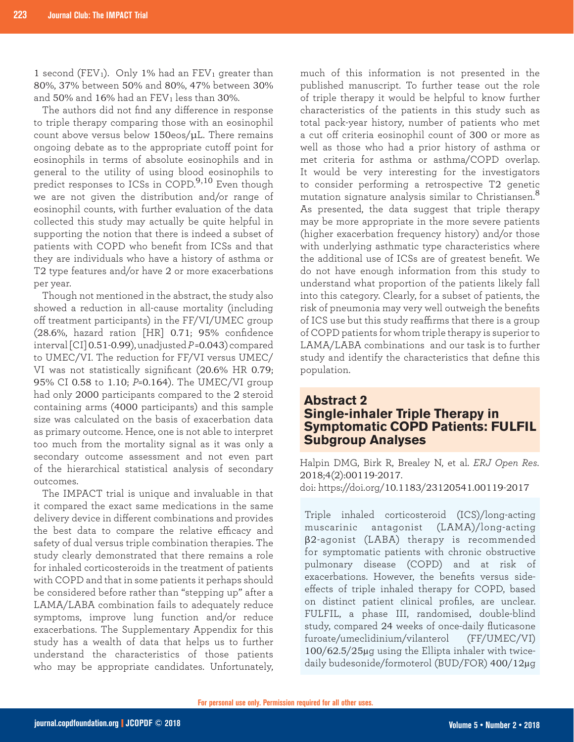1 second (FEV<sub>1</sub>). Only 1% had an FEV<sub>1</sub> greater than 80%, 37% between 50% and 80%, 47% between 30% and 50% and 16% had an  $FEV<sub>1</sub>$  less than 30%.

The authors did not find any difference in response to triple therapy comparing those with an eosinophil count above versus below 150eos/μL. There remains ongoing debate as to the appropriate cutoff point for eosinophils in terms of absolute eosinophils and in general to the utility of using blood eosinophils to predict responses to ICSs in COPD.<sup>9,10</sup> Even though we are not given the distribution and/or range of eosinophil counts, with further evaluation of the data collected this study may actually be quite helpful in supporting the notion that there is indeed a subset of patients with COPD who benefit from ICSs and that they are individuals who have a history of asthma or T2 type features and/or have 2 or more exacerbations per year.

Though not mentioned in the abstract, the study also showed a reduction in all-cause mortality (including off treatment participants) in the FF/VI/UMEC group (28.6%, hazard ration [HR] 0.71; 95% confidence interval [CI] 0.51-0.99), unadjusted *P* =0.043) compared to UMEC/VI. The reduction for FF/VI versus UMEC/ VI was not statistically significant (20.6% HR 0.79; 95% CI 0.58 to 1.10; *P*=0.164). The UMEC/VI group had only 2000 participants compared to the 2 steroid containing arms (4000 participants) and this sample size was calculated on the basis of exacerbation data as primary outcome. Hence, one is not able to interpret too much from the mortality signal as it was only a secondary outcome assessment and not even part of the hierarchical statistical analysis of secondary outcomes.

The IMPACT trial is unique and invaluable in that it compared the exact same medications in the same delivery device in different combinations and provides the best data to compare the relative efficacy and safety of dual versus triple combination therapies. The study clearly demonstrated that there remains a role for inhaled corticosteroids in the treatment of patients with COPD and that in some patients it perhaps should be considered before rather than "stepping up" after a LAMA/LABA combination fails to adequately reduce symptoms, improve lung function and/or reduce exacerbations. The Supplementary Appendix for this study has a wealth of data that helps us to further understand the characteristics of those patients who may be appropriate candidates. Unfortunately,

much of this information is not presented in the published manuscript. To further tease out the role of triple therapy it would be helpful to know further characteristics of the patients in this study such as total pack-year history, number of patients who met a cut off criteria eosinophil count of 300 or more as well as those who had a prior history of asthma or met criteria for asthma or asthma/COPD overlap. It would be very interesting for the investigators to consider performing a retrospective T2 genetic mutation signature analysis similar to Christiansen.<sup>8</sup> As presented, the data suggest that triple therapy may be more appropriate in the more severe patients (higher exacerbation frequency history) and/or those with underlying asthmatic type characteristics where the additional use of ICSs are of greatest benefit. We do not have enough information from this study to understand what proportion of the patients likely fall into this category. Clearly, for a subset of patients, the risk of pneumonia may very well outweigh the benefits of ICS use but this study reaffirms that there is a group of COPD patients for whom triple therapy is superior to LAMA/LABA combinations and our task is to further study and identify the characteristics that define this population.

#### **Abstract 2 Single-inhaler Triple Therapy in Symptomatic COPD Patients: FULFIL Subgroup Analyses**

Halpin DMG, Birk R, Brealey N, et al. *ERJ Open Res*. 2018;4(2):00119-2017. doi: https://doi.org/10.1183/23120541.00119-2017

Triple inhaled corticosteroid (ICS)/long-acting muscarinic antagonist (LAMA)/long-acting β2-agonist (LABA) therapy is recommended for symptomatic patients with chronic obstructive pulmonary disease (COPD) and at risk of exacerbations. However, the benefits versus sideeffects of triple inhaled therapy for COPD, based on distinct patient clinical profiles, are unclear. FULFIL, a phase III, randomised, double-blind study, compared 24 weeks of once-daily fluticasone furoate/umeclidinium/vilanterol (FF/UMEC/VI) 100/62.5/25µg using the Ellipta inhaler with twicedaily budesonide/formoterol (BUD/FOR) 400/12µg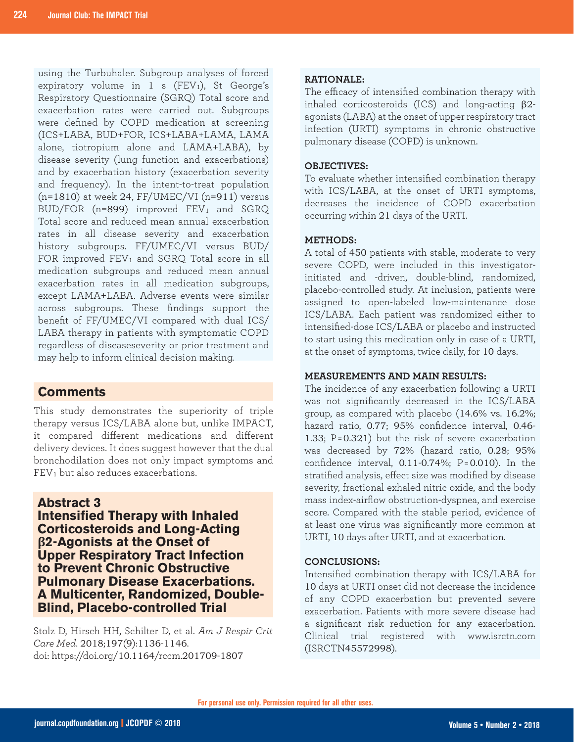using the Turbuhaler. Subgroup analyses of forced expiratory volume in  $1 \text{ s}$  (FEV<sub>1</sub>), St George's Respiratory Questionnaire (SGRQ) Total score and exacerbation rates were carried out. Subgroups were defined by COPD medication at screening (ICS+LABA, BUD+FOR, ICS+LABA+LAMA, LAMA alone, tiotropium alone and LAMA+LABA), by disease severity (lung function and exacerbations) and by exacerbation history (exacerbation severity and frequency). In the intent-to-treat population  $(n=1810)$  at week 24, FF/UMEC/VI  $(n=911)$  versus BUD/FOR ( $n=899$ ) improved FEV<sub>1</sub> and SGRQ Total score and reduced mean annual exacerbation rates in all disease severity and exacerbation history subgroups. FF/UMEC/VI versus BUD/ FOR improved FEV<sub>1</sub> and SGRQ Total score in all medication subgroups and reduced mean annual exacerbation rates in all medication subgroups, except LAMA+LABA. Adverse events were similar across subgroups. These findings support the benefit of FF/UMEC/VI compared with dual ICS/ LABA therapy in patients with symptomatic COPD regardless of diseaseseverity or prior treatment and may help to inform clinical decision making.

#### **Comments**

This study demonstrates the superiority of triple therapy versus ICS/LABA alone but, unlike IMPACT, it compared different medications and different delivery devices. It does suggest however that the dual bronchodilation does not only impact symptoms and FEV1 but also reduces exacerbations.

#### **Abstract 3**

**Intensified Therapy with Inhaled Corticosteroids and Long-Acting β2-Agonists at the Onset of Upper Respiratory Tract Infection to Prevent Chronic Obstructive Pulmonary Disease Exacerbations. A Multicenter, Randomized, Double-Blind, Placebo-controlled Trial**

Stolz D, Hirsch HH, Schilter D, et al. *Am J Respir Crit Care Med*. 2018;197(9):1136-1146. doi: https://doi.org/10.1164/rccm.201709-1807

#### **RATIONALE:**

The efficacy of intensified combination therapy with inhaled corticosteroids (ICS) and long-acting β2 agonists (LABA) at the onset of upper respiratory tract infection (URTI) symptoms in chronic obstructive pulmonary disease (COPD) is unknown.

#### **OBJECTIVES:**

To evaluate whether intensified combination therapy with ICS/LABA, at the onset of URTI symptoms, decreases the incidence of COPD exacerbation occurring within 21 days of the URTI.

#### **METHODS:**

A total of 450 patients with stable, moderate to very severe COPD, were included in this investigatorinitiated and -driven, double-blind, randomized, placebo-controlled study. At inclusion, patients were assigned to open-labeled low-maintenance dose ICS/LABA. Each patient was randomized either to intensified-dose ICS/LABA or placebo and instructed to start using this medication only in case of a URTI, at the onset of symptoms, twice daily, for 10 days.

#### **MEASUREMENTS AND MAIN RESULTS:**

The incidence of any exacerbation following a URTI was not significantly decreased in the ICS/LABA group, as compared with placebo (14.6% vs. 16.2%; hazard ratio, 0.77; 95% confidence interval, 0.46- 1.33; P = 0.321) but the risk of severe exacerbation was decreased by 72% (hazard ratio, 0.28; 95% confidence interval, 0.11-0.74%; P = 0.010). In the stratified analysis, effect size was modified by disease severity, fractional exhaled nitric oxide, and the body mass index-airflow obstruction-dyspnea, and exercise score. Compared with the stable period, evidence of at least one virus was significantly more common at URTI, 10 days after URTI, and at exacerbation.

#### **CONCLUSIONS:**

Intensified combination therapy with ICS/LABA for 10 days at URTI onset did not decrease the incidence of any COPD exacerbation but prevented severe exacerbation. Patients with more severe disease had a significant risk reduction for any exacerbation. Clinical trial registered with www.isrctn.com (ISRCTN45572998).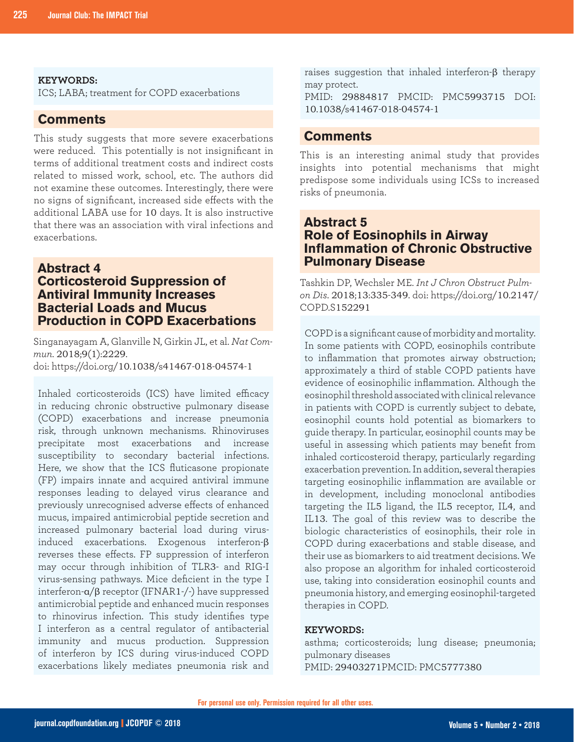#### **KEYWORDS:**

ICS; LABA; treatment for COPD exacerbations

#### **Comments**

This study suggests that more severe exacerbations were reduced. This potentially is not insignificant in terms of additional treatment costs and indirect costs related to missed work, school, etc. The authors did not examine these outcomes. Interestingly, there were no signs of significant, increased side effects with the additional LABA use for 10 days. It is also instructive that there was an association with viral infections and exacerbations.

#### **Abstract 4 Corticosteroid Suppression of Antiviral Immunity Increases Bacterial Loads and Mucus Production in COPD Exacerbations**

Singanayagam A, Glanville N, Girkin JL, et al. *Nat Commun*. 2018;9(1):2229. doi: https://doi.org/10.1038/s41467-018-04574-1

Inhaled corticosteroids (ICS) have limited efficacy in reducing chronic obstructive pulmonary disease (COPD) exacerbations and increase pneumonia risk, through unknown mechanisms. Rhinoviruses precipitate most exacerbations and increase susceptibility to secondary bacterial infections. Here, we show that the ICS fluticasone propionate (FP) impairs innate and acquired antiviral immune responses leading to delayed virus clearance and previously unrecognised adverse effects of enhanced mucus, impaired antimicrobial peptide secretion and increased pulmonary bacterial load during virusinduced exacerbations. Exogenous interferon-β reverses these effects. FP suppression of interferon may occur through inhibition of TLR3- and RIG-I virus-sensing pathways. Mice deficient in the type I interferon-α/β receptor (IFNAR1-/-) have suppressed antimicrobial peptide and enhanced mucin responses to rhinovirus infection. This study identifies type I interferon as a central regulator of antibacterial immunity and mucus production. Suppression of interferon by ICS during virus-induced COPD exacerbations likely mediates pneumonia risk and raises suggestion that inhaled interferon-β therapy may protect.

PMID: 29884817 PMCID: PMC5993715 DOI: 10.1038/s41467-018-04574-1

#### **Comments**

This is an interesting animal study that provides insights into potential mechanisms that might predispose some individuals using ICSs to increased risks of pneumonia.

#### **Abstract 5 Role of Eosinophils in Airway Inflammation of Chronic Obstructive Pulmonary Disease**

Tashkin DP, Wechsler ME. *Int J Chron Obstruct Pulmon Dis*. 2018;13:335-349. doi: https://doi.org/10.2147/ COPD.S152291

COPD is a significant cause of morbidity and mortality. In some patients with COPD, eosinophils contribute to inflammation that promotes airway obstruction; approximately a third of stable COPD patients have evidence of eosinophilic inflammation. Although the eosinophil threshold associated with clinical relevance in patients with COPD is currently subject to debate, eosinophil counts hold potential as biomarkers to guide therapy. In particular, eosinophil counts may be useful in assessing which patients may benefit from inhaled corticosteroid therapy, particularly regarding exacerbation prevention. In addition, several therapies targeting eosinophilic inflammation are available or in development, including monoclonal antibodies targeting the IL5 ligand, the IL5 receptor, IL4, and IL13. The goal of this review was to describe the biologic characteristics of eosinophils, their role in COPD during exacerbations and stable disease, and their use as biomarkers to aid treatment decisions. We also propose an algorithm for inhaled corticosteroid use, taking into consideration eosinophil counts and pneumonia history, and emerging eosinophil-targeted therapies in COPD.

#### **KEYWORDS:**

asthma; corticosteroids; lung disease; pneumonia; pulmonary diseases PMID: 29403271PMCID: PMC5777380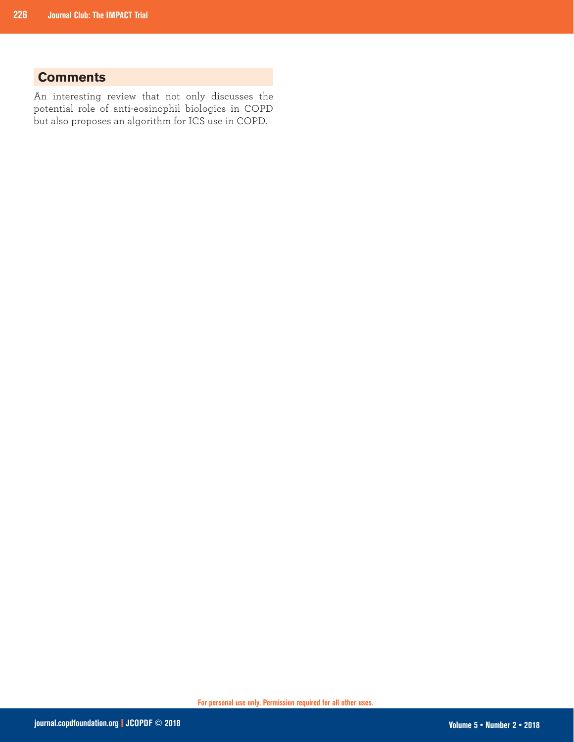### **Comments**

An interesting review that not only discusses the potential role of anti-eosinophil biologics in COPD but also proposes an algorithm for ICS use in COPD.